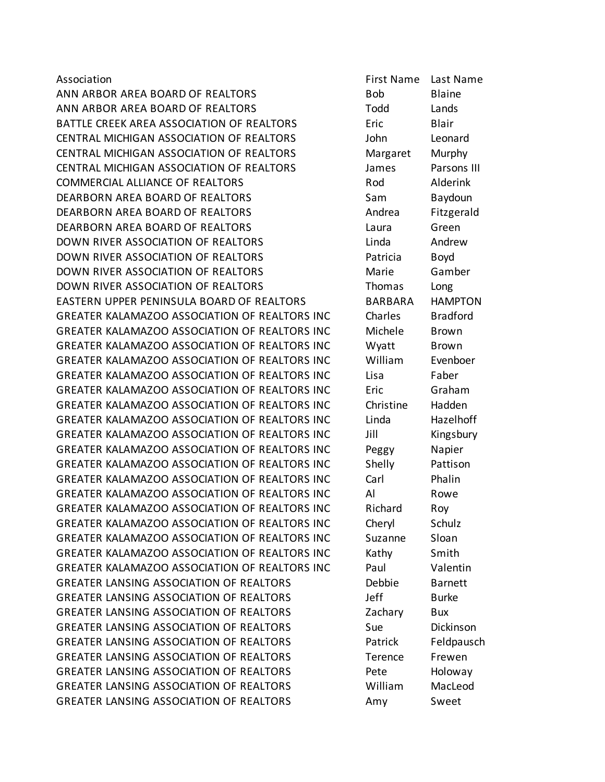ANN ARBOR AREA BOARD OF REALTORS BOD Blaine ANN ARBOR AREA BOARD OF REALTORS TO Todd Lands BATTLE CREEK AREA ASSOCIATION OF REALTORS Eric Blair CENTRAL MICHIGAN ASSOCIATION OF REALTORS John Leonard CENTRAL MICHIGAN ASSOCIATION OF REALTORS Margaret Murphy CENTRAL MICHIGAN ASSOCIATION OF REALTORS James Parsons III COMMERCIAL ALLIANCE OF REALTORS Rod Alderink DEARBORN AREA BOARD OF REALTORS Sam Baydoun DEARBORN AREA BOARD OF REALTORS AND HOT Andrea Fitzgerald DEARBORN AREA BOARD OF REALTORS Laura Green DOWN RIVER ASSOCIATION OF REALTORS Linda Andrew DOWN RIVER ASSOCIATION OF REALTORS Patricia Boyd DOWN RIVER ASSOCIATION OF REALTORS THE Marie Gamber DOWN RIVER ASSOCIATION OF REALTORS Thomas Long EASTERN UPPER PENINSULA BOARD OF REALTORS BARBARA HAMPTON GREATER KALAMAZOO ASSOCIATION OF REALTORS INC Charles Bradford GREATER KALAMAZOO ASSOCIATION OF REALTORS INC Michele Brown GREATER KALAMAZOO ASSOCIATION OF REALTORS INC Wyatt Brown GREATER KALAMAZOO ASSOCIATION OF REALTORS INC William Evenboer GREATER KALAMAZOO ASSOCIATION OF REALTORS INC Lisa Faber GREATER KALAMAZOO ASSOCIATION OF REALTORS INC Eric Graham GREATER KALAMAZOO ASSOCIATION OF REALTORS INC Christine Hadden GREATER KALAMAZOO ASSOCIATION OF REALTORS INC Linda Hazelhoff GREATER KALAMAZOO ASSOCIATION OF REALTORS INC Jill Kingsbury GREATER KALAMAZOO ASSOCIATION OF REALTORS INC Peggy Napier GREATER KALAMAZOO ASSOCIATION OF REALTORS INC Shelly Pattison GREATER KALAMAZOO ASSOCIATION OF REALTORS INC Carl Phalin GREATER KALAMAZOO ASSOCIATION OF REALTORS INC Al Rowe GREATER KALAMAZOO ASSOCIATION OF REALTORS INC Richard Roy GREATER KALAMAZOO ASSOCIATION OF REALTORS INC Cheryl Schulz GREATER KALAMAZOO ASSOCIATION OF REALTORS INC Suzanne Sloan GREATER KALAMAZOO ASSOCIATION OF REALTORS INC Kathy Smith GREATER KALAMAZOO ASSOCIATION OF REALTORS INC Paul Valentin GREATER LANSING ASSOCIATION OF REALTORS **Example 10** Debbie Barnett GREATER LANSING ASSOCIATION OF REALTORS The left burke GREATER LANSING ASSOCIATION OF REALTORS **Example 2** Zachary Bux GREATER LANSING ASSOCIATION OF REALTORS Sue Bickinson GREATER LANSING ASSOCIATION OF REALTORS FRIEND Patrick Feldpausch GREATER LANSING ASSOCIATION OF REALTORS Terence Frewen GREATER LANSING ASSOCIATION OF REALTORS The Pete Holoway GREATER LANSING ASSOCIATION OF REALTORS William MacLeod GREATER LANSING ASSOCIATION OF REALTORS Amy Sweet

Association First Name Last Name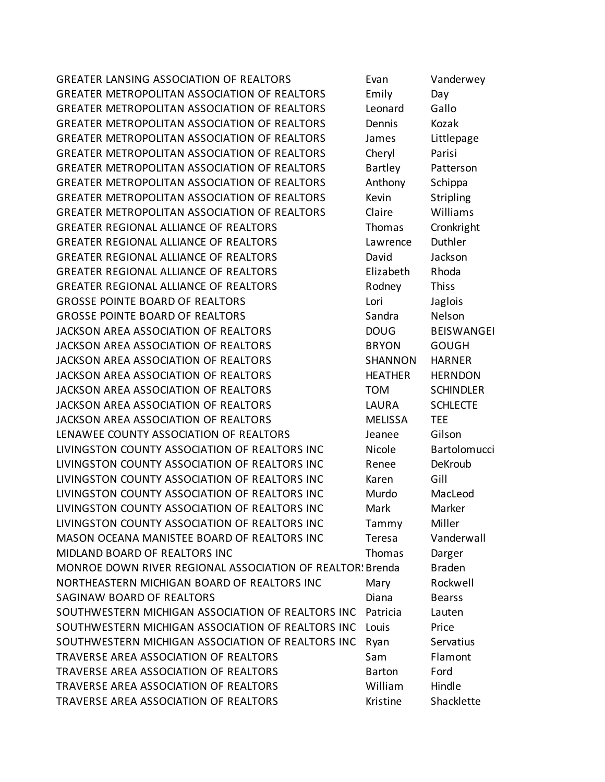GREATER LANSING ASSOCIATION OF REALTORS Evan Vanderwey GREATER METROPOLITAN ASSOCIATION OF REALTORS Emily Day GREATER METROPOLITAN ASSOCIATION OF REALTORS Leonard Gallo GREATER METROPOLITAN ASSOCIATION OF REALTORS Dennis Kozak GREATER METROPOLITAN ASSOCIATION OF REALTORS James Littlepage GREATER METROPOLITAN ASSOCIATION OF REALTORS Cheryl Parisi GREATER METROPOLITAN ASSOCIATION OF REALTORS Bartley Patterson GREATER METROPOLITAN ASSOCIATION OF REALTORS Anthony Schippa GREATER METROPOLITAN ASSOCIATION OF REALTORS Kevin Stripling GREATER METROPOLITAN ASSOCIATION OF REALTORS Claire Williams GREATER REGIONAL ALLIANCE OF REALTORS Thomas Cronkright GREATER REGIONAL ALLIANCE OF REALTORS Lawrence Duthler GREATER REGIONAL ALLIANCE OF REALTORS **Example 20 FISS** David Jackson GREATER REGIONAL ALLIANCE OF REALTORS Elizabeth Rhoda GREATER REGIONAL ALLIANCE OF REALTORS This research and the Rodney and Thiss GROSSE POINTE BOARD OF REALTORS Lori Lori Jaglois GROSSE POINTE BOARD OF REALTORS SAND Sandra Nelson JACKSON AREA ASSOCIATION OF REALTORS DOUG BEISWANGER JACKSON AREA ASSOCIATION OF REALTORS BRYON GOUGH JACKSON AREA ASSOCIATION OF REALTORS SHANNON HARNER JACKSON AREA ASSOCIATION OF REALTORS THEATHER HERNDON JACKSON AREA ASSOCIATION OF REALTORS TOM SCHINDLER JACKSON AREA ASSOCIATION OF REALTORS LAURA SCHLECTE JACKSON AREA ASSOCIATION OF REALTORS MELISSA TEE LENAWEE COUNTY ASSOCIATION OF REALTORS FOR THE MARGING SOLUTION OF REALTORS LIVINGSTON COUNTY ASSOCIATION OF REALTORS INC Nicole Bartolomucci LIVINGSTON COUNTY ASSOCIATION OF REALTORS INC Renee DeKroub LIVINGSTON COUNTY ASSOCIATION OF REALTORS INC Karen Gill LIVINGSTON COUNTY ASSOCIATION OF REALTORS INC Murdo MacLeod LIVINGSTON COUNTY ASSOCIATION OF REALTORS INC Mark Marker LIVINGSTON COUNTY ASSOCIATION OF REALTORS INC Tammy Miller MASON OCEANA MANISTEE BOARD OF REALTORS INC Teresa Vanderwall MIDLAND BOARD OF REALTORS INC Thomas Darger MONROE DOWN RIVER REGIONAL ASSOCIATION OF REALTOR: Brenda Braden NORTHEASTERN MICHIGAN BOARD OF REALTORS INC Mary Rockwell SAGINAW BOARD OF REALTORS **Example 20 Secure 2018** Diana Bearss SOUTHWESTERN MICHIGAN ASSOCIATION OF REALTORS INC Patricia Lauten SOUTHWESTERN MICHIGAN ASSOCIATION OF REALTORS INC Louis Price SOUTHWESTERN MICHIGAN ASSOCIATION OF REALTORS INC Ryan Servatius TRAVERSE AREA ASSOCIATION OF REALTORS Sam Flamont TRAVERSE AREA ASSOCIATION OF REALTORS Barton Ford TRAVERSE AREA ASSOCIATION OF REALTORS William Hindle TRAVERSE AREA ASSOCIATION OF REALTORS TRAVERS ESSENTIAL Shacklette